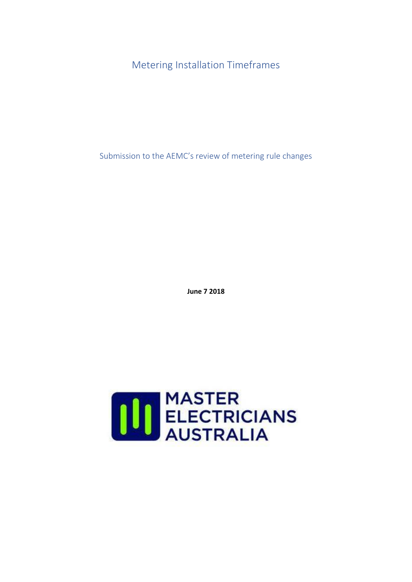Metering Installation Timeframes

Submission to the AEMC's review of metering rule changes

**June 7 2018**

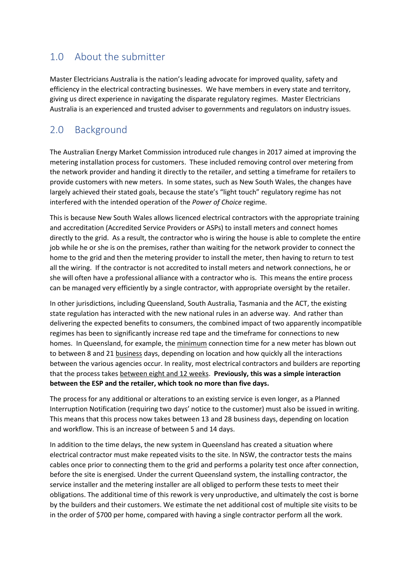## 1.0 About the submitter

Master Electricians Australia is the nation's leading advocate for improved quality, safety and efficiency in the electrical contracting businesses. We have members in every state and territory, giving us direct experience in navigating the disparate regulatory regimes. Master Electricians Australia is an experienced and trusted adviser to governments and regulators on industry issues.

#### 2.0 Background

The Australian Energy Market Commission introduced rule changes in 2017 aimed at improving the metering installation process for customers. These included removing control over metering from the network provider and handing it directly to the retailer, and setting a timeframe for retailers to provide customers with new meters. In some states, such as New South Wales, the changes have largely achieved their stated goals, because the state's "light touch" regulatory regime has not interfered with the intended operation of the *Power of Choice* regime.

This is because New South Wales allows licenced electrical contractors with the appropriate training and accreditation (Accredited Service Providers or ASPs) to install meters and connect homes directly to the grid. As a result, the contractor who is wiring the house is able to complete the entire job while he or she is on the premises, rather than waiting for the network provider to connect the home to the grid and then the metering provider to install the meter, then having to return to test all the wiring. If the contractor is not accredited to install meters and network connections, he or she will often have a professional alliance with a contractor who is. This means the entire process can be managed very efficiently by a single contractor, with appropriate oversight by the retailer.

In other jurisdictions, including Queensland, South Australia, Tasmania and the ACT, the existing state regulation has interacted with the new national rules in an adverse way. And rather than delivering the expected benefits to consumers, the combined impact of two apparently incompatible regimes has been to significantly increase red tape and the timeframe for connections to new homes. In Queensland, for example, the minimum connection time for a new meter has blown out to between 8 and 21 business days, depending on location and how quickly all the interactions between the various agencies occur. In reality, most electrical contractors and builders are reporting that the process takes between eight and 12 weeks. **Previously, this was a simple interaction between the ESP and the retailer, which took no more than five days.**

The process for any additional or alterations to an existing service is even longer, as a Planned Interruption Notification (requiring two days' notice to the customer) must also be issued in writing. This means that this process now takes between 13 and 28 business days, depending on location and workflow. This is an increase of between 5 and 14 days.

In addition to the time delays, the new system in Queensland has created a situation where electrical contractor must make repeated visits to the site. In NSW, the contractor tests the mains cables once prior to connecting them to the grid and performs a polarity test once after connection, before the site is energised. Under the current Queensland system, the installing contractor, the service installer and the metering installer are all obliged to perform these tests to meet their obligations. The additional time of this rework is very unproductive, and ultimately the cost is borne by the builders and their customers. We estimate the net additional cost of multiple site visits to be in the order of \$700 per home, compared with having a single contractor perform all the work.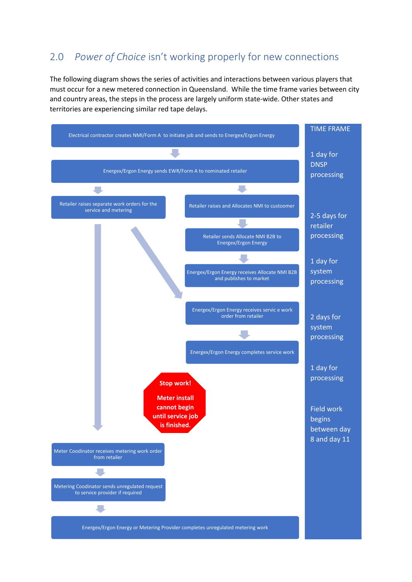#### 2.0 *Power of Choice* isn't working properly for new connections

The following diagram shows the series of activities and interactions between various players that must occur for a new metered connection in Queensland. While the time frame varies between city and country areas, the steps in the process are largely uniform state-wide. Other states and territories are experiencing similar red tape delays.